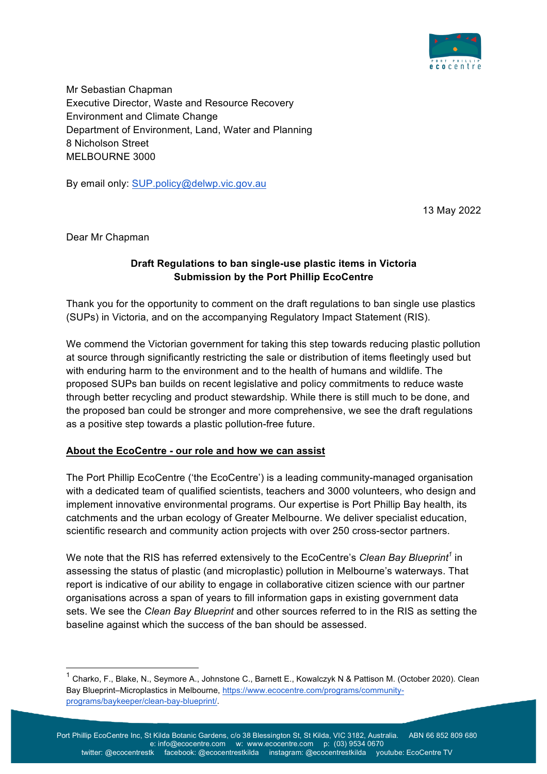

Mr Sebastian Chapman Executive Director, Waste and Resource Recovery Environment and Climate Change Department of Environment, Land, Water and Planning 8 Nicholson Street MELBOURNE 3000

By email only: SUP.policy@delwp.vic.gov.au

13 May 2022

Dear Mr Chapman

## **Draft Regulations to ban single-use plastic items in Victoria Submission by the Port Phillip EcoCentre**

Thank you for the opportunity to comment on the draft regulations to ban single use plastics (SUPs) in Victoria, and on the accompanying Regulatory Impact Statement (RIS).

We commend the Victorian government for taking this step towards reducing plastic pollution at source through significantly restricting the sale or distribution of items fleetingly used but with enduring harm to the environment and to the health of humans and wildlife. The proposed SUPs ban builds on recent legislative and policy commitments to reduce waste through better recycling and product stewardship. While there is still much to be done, and the proposed ban could be stronger and more comprehensive, we see the draft regulations as a positive step towards a plastic pollution-free future.

#### **About the EcoCentre - our role and how we can assist**

The Port Phillip EcoCentre ('the EcoCentre') is a leading community-managed organisation with a dedicated team of qualified scientists, teachers and 3000 volunteers, who design and implement innovative environmental programs. Our expertise is Port Phillip Bay health, its catchments and the urban ecology of Greater Melbourne. We deliver specialist education, scientific research and community action projects with over 250 cross-sector partners.

We note that the RIS has referred extensively to the EcoCentre's *Clean Bay Blueprint<sup>1</sup>* in assessing the status of plastic (and microplastic) pollution in Melbourne's waterways. That report is indicative of our ability to engage in collaborative citizen science with our partner organisations across a span of years to fill information gaps in existing government data sets. We see the *Clean Bay Blueprint* and other sources referred to in the RIS as setting the baseline against which the success of the ban should be assessed.

<sup>&</sup>lt;sup>1</sup> Charko, F., Blake, N., Seymore A., Johnstone C., Barnett E., Kowalczyk N & Pattison M. (October 2020). Clean Bay Blueprint–Microplastics in Melbourne, https://www.ecocentre.com/programs/communityprograms/baykeeper/clean-bay-blueprint/.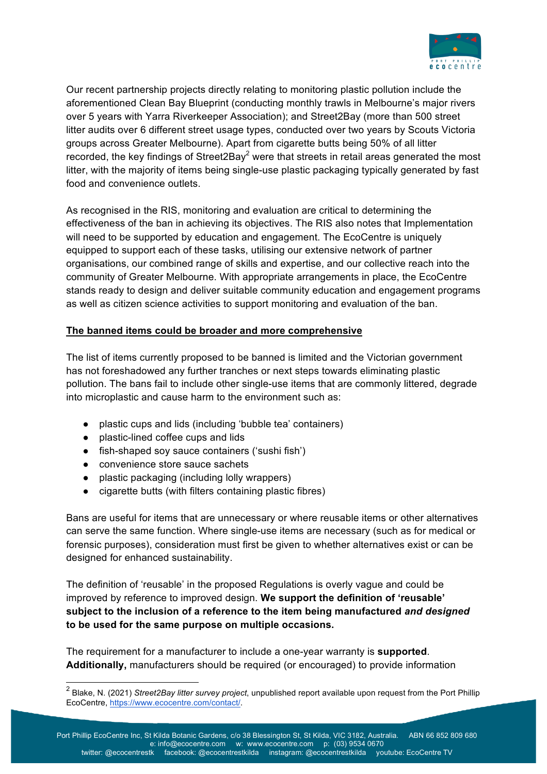

Our recent partnership projects directly relating to monitoring plastic pollution include the aforementioned Clean Bay Blueprint (conducting monthly trawls in Melbourne's major rivers over 5 years with Yarra Riverkeeper Association); and Street2Bay (more than 500 street litter audits over 6 different street usage types, conducted over two years by Scouts Victoria groups across Greater Melbourne). Apart from cigarette butts being 50% of all litter recorded, the key findings of Street2Bay<sup>2</sup> were that streets in retail areas generated the most litter, with the majority of items being single-use plastic packaging typically generated by fast food and convenience outlets.

As recognised in the RIS, monitoring and evaluation are critical to determining the effectiveness of the ban in achieving its objectives. The RIS also notes that Implementation will need to be supported by education and engagement. The EcoCentre is uniquely equipped to support each of these tasks, utilising our extensive network of partner organisations, our combined range of skills and expertise, and our collective reach into the community of Greater Melbourne. With appropriate arrangements in place, the EcoCentre stands ready to design and deliver suitable community education and engagement programs as well as citizen science activities to support monitoring and evaluation of the ban.

## **The banned items could be broader and more comprehensive**

The list of items currently proposed to be banned is limited and the Victorian government has not foreshadowed any further tranches or next steps towards eliminating plastic pollution. The bans fail to include other single-use items that are commonly littered, degrade into microplastic and cause harm to the environment such as:

- plastic cups and lids (including 'bubble tea' containers)
- plastic-lined coffee cups and lids
- fish-shaped soy sauce containers ('sushi fish')
- convenience store sauce sachets
- plastic packaging (including lolly wrappers)
- cigarette butts (with filters containing plastic fibres)

Bans are useful for items that are unnecessary or where reusable items or other alternatives can serve the same function. Where single-use items are necessary (such as for medical or forensic purposes), consideration must first be given to whether alternatives exist or can be designed for enhanced sustainability.

The definition of 'reusable' in the proposed Regulations is overly vague and could be improved by reference to improved design. **We support the definition of 'reusable' subject to the inclusion of a reference to the item being manufactured** *and designed*  **to be used for the same purpose on multiple occasions.**

The requirement for a manufacturer to include a one-year warranty is **supported**. **Additionally,** manufacturers should be required (or encouraged) to provide information

 <sup>2</sup> Blake, N. (2021) *Street2Bay litter survey project*, unpublished report available upon request from the Port Phillip EcoCentre, https://www.ecocentre.com/contact/.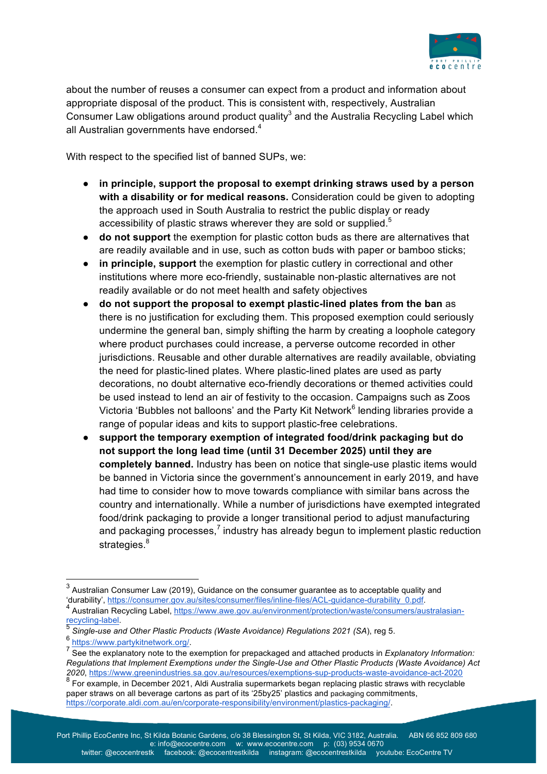

about the number of reuses a consumer can expect from a product and information about appropriate disposal of the product. This is consistent with, respectively, Australian Consumer Law obligations around product quality<sup>3</sup> and the Australia Recycling Label which all Australian governments have endorsed.<sup>4</sup>

With respect to the specified list of banned SUPs, we:

- in principle, support the proposal to exempt drinking straws used by a person **with a disability or for medical reasons.** Consideration could be given to adopting the approach used in South Australia to restrict the public display or ready accessibility of plastic straws wherever they are sold or supplied.<sup>5</sup>
- **do not support** the exemption for plastic cotton buds as there are alternatives that are readily available and in use, such as cotton buds with paper or bamboo sticks;
- **in principle, support** the exemption for plastic cutlery in correctional and other institutions where more eco-friendly, sustainable non-plastic alternatives are not readily available or do not meet health and safety objectives
- **do not support the proposal to exempt plastic-lined plates from the ban** as there is no justification for excluding them. This proposed exemption could seriously undermine the general ban, simply shifting the harm by creating a loophole category where product purchases could increase, a perverse outcome recorded in other jurisdictions. Reusable and other durable alternatives are readily available, obviating the need for plastic-lined plates. Where plastic-lined plates are used as party decorations, no doubt alternative eco-friendly decorations or themed activities could be used instead to lend an air of festivity to the occasion. Campaigns such as Zoos Victoria 'Bubbles not balloons' and the Party Kit Network<sup>6</sup> lending libraries provide a range of popular ideas and kits to support plastic-free celebrations.
- **support the temporary exemption of integrated food/drink packaging but do not support the long lead time (until 31 December 2025) until they are completely banned.** Industry has been on notice that single-use plastic items would be banned in Victoria since the government's announcement in early 2019, and have had time to consider how to move towards compliance with similar bans across the country and internationally. While a number of jurisdictions have exempted integrated food/drink packaging to provide a longer transitional period to adjust manufacturing and packaging processes, $^7$  industry has already begun to implement plastic reduction strategies.<sup>8</sup>

 $3$  Australian Consumer Law (2019), Guidance on the consumer guarantee as to acceptable quality and<br>'durability', https://consumer.gov.au/sites/consumer/files/inline-files/ACL-guidance-durability 0.pdf.

<sup>&</sup>lt;sup>4</sup> Australian Recycling Label, https://www.awe.gov.au/environment/protection/waste/consumers/australasian-<br>recycling-label.

<sup>&</sup>lt;sup>5</sup> *Single-use and Other Plastic Products (Waste Avoidance) Regulations 2021 (SA), reg 5.*<br><sup>6</sup> https://www<u>.partykitnetwork.org/</u>.

Figure 2. https://www.party.com<br>See the explanatory note to the exemption for prepackaged and attached products in *Explanatory Information: Regulations that Implement Exemptions under the Single-Use and Other Plastic Products (Waste Avoidance) Act 2020*, https://www.greenindustries.sa.gov.au/resources/exemptions-sup-products-waste-avoidance-act-2020

<sup>&</sup>lt;sup>8</sup> For example, in December 2021, Aldi Australia supermarkets began replacing plastic straws with recyclable paper straws on all beverage cartons as part of its '25by25' plastics and packaging commitments, https://corporate.aldi.com.au/en/corporate-responsibility/environment/plastics-packaging/.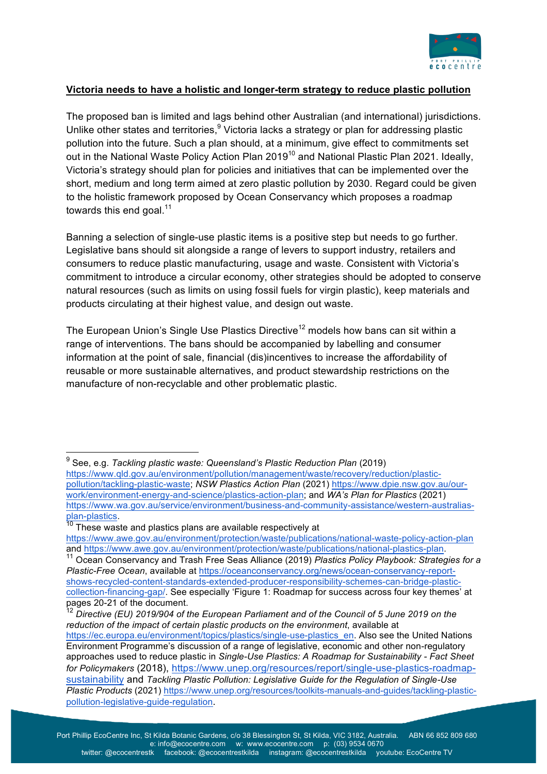

### **Victoria needs to have a holistic and longer-term strategy to reduce plastic pollution**

The proposed ban is limited and lags behind other Australian (and international) jurisdictions. Unlike other states and territories, $9$  Victoria lacks a strategy or plan for addressing plastic pollution into the future. Such a plan should, at a minimum, give effect to commitments set out in the National Waste Policy Action Plan 2019<sup>10</sup> and National Plastic Plan 2021. Ideally, Victoria's strategy should plan for policies and initiatives that can be implemented over the short, medium and long term aimed at zero plastic pollution by 2030. Regard could be given to the holistic framework proposed by Ocean Conservancy which proposes a roadmap towards this end goal. $11$ 

Banning a selection of single-use plastic items is a positive step but needs to go further. Legislative bans should sit alongside a range of levers to support industry, retailers and consumers to reduce plastic manufacturing, usage and waste. Consistent with Victoria's commitment to introduce a circular economy, other strategies should be adopted to conserve natural resources (such as limits on using fossil fuels for virgin plastic), keep materials and products circulating at their highest value, and design out waste.

The European Union's Single Use Plastics Directive<sup>12</sup> models how bans can sit within a range of interventions. The bans should be accompanied by labelling and consumer information at the point of sale, financial (dis)incentives to increase the affordability of reusable or more sustainable alternatives, and product stewardship restrictions on the manufacture of non-recyclable and other problematic plastic.

<sup>&</sup>lt;sup>9</sup> See, e.g. *Tackling plastic waste: Queensland's Plastic Reduction Plan (2019)* 

https://www.qld.gov.au/environment/pollution/management/waste/recovery/reduction/plasticpollution/tackling-plastic-waste; *NSW Plastics Action Plan* (2021) https://www.dpie.nsw.gov.au/ourwork/environment-energy-and-science/plastics-action-plan; and *WA's Plan for Plastics* (2021) https://www.wa.gov.au/service/environment/business-and-community-assistance/western-australiasplan-plastics.<br><sup>10</sup> These waste and plastics plans are available respectively at

https://www.awe.gov.au/environment/protection/waste/publications/national-waste-policy-action-plan<br>and https://www.awe.gov.au/environment/protection/waste/publications/national-plastics-plan.

<sup>&</sup>lt;sup>11</sup> Ocean Conservancy and Trash Free Seas Alliance (2019) *Plastics Policy Playbook: Strategies for a Plastic-Free Ocean*, available at https://oceanconservancy.org/news/ocean-conservancy-reportshows-recycled-content-standards-extended-producer-responsibility-schemes-can-bridge-plasticcollection-financing-gap/. See especially 'Figure 1: Roadmap for success across four key themes' at pages 20-21 of the document.

<sup>12</sup> *Directive (EU) 2019/904 of the European Parliament and of the Council of 5 June 2019 on the reduction of the impact of certain plastic products on the environment*, available at https://ec.europa.eu/environment/topics/plastics/single-use-plastics\_en. Also see the United Nations Environment Programme's discussion of a range of legislative, economic and other non-regulatory approaches used to reduce plastic in *Single-Use Plastics: A Roadmap for Sustainability - Fact Sheet for Policymakers* (2018), https://www.unep.org/resources/report/single-use-plastics-roadmapsustainability and *Tackling Plastic Pollution: Legislative Guide for the Regulation of Single-Use Plastic Products* (2021) https://www.unep.org/resources/toolkits-manuals-and-guides/tackling-plasticpollution-legislative-guide-regulation.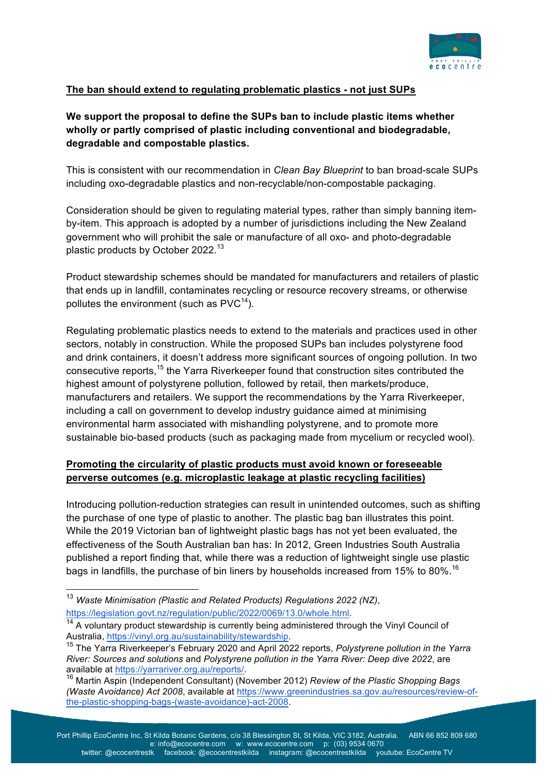

# **The ban should extend to regulating problematic plastics - not just SUPs**

# **We support the proposal to define the SUPs ban to include plastic items whether wholly or partly comprised of plastic including conventional and biodegradable, degradable and compostable plastics.**

This is consistent with our recommendation in *Clean Bay Blueprint* to ban broad-scale SUPs including oxo-degradable plastics and non-recyclable/non-compostable packaging.

Consideration should be given to regulating material types, rather than simply banning itemby-item. This approach is adopted by a number of jurisdictions including the New Zealand government who will prohibit the sale or manufacture of all oxo- and photo-degradable plastic products by October 2022.<sup>13</sup>

Product stewardship schemes should be mandated for manufacturers and retailers of plastic that ends up in landfill, contaminates recycling or resource recovery streams, or otherwise pollutes the environment (such as  $\text{PVC}^{14}$ ).

Regulating problematic plastics needs to extend to the materials and practices used in other sectors, notably in construction. While the proposed SUPs ban includes polystyrene food and drink containers, it doesn't address more significant sources of ongoing pollution. In two consecutive reports,<sup>15</sup> the Yarra Riverkeeper found that construction sites contributed the highest amount of polystyrene pollution, followed by retail, then markets/produce, manufacturers and retailers. We support the recommendations by the Yarra Riverkeeper, including a call on government to develop industry guidance aimed at minimising environmental harm associated with mishandling polystyrene, and to promote more sustainable bio-based products (such as packaging made from mycelium or recycled wool).

## **Promoting the circularity of plastic products must avoid known or foreseeable perverse outcomes (e.g. microplastic leakage at plastic recycling facilities)**

Introducing pollution-reduction strategies can result in unintended outcomes, such as shifting the purchase of one type of plastic to another. The plastic bag ban illustrates this point. While the 2019 Victorian ban of lightweight plastic bags has not yet been evaluated, the effectiveness of the South Australian ban has: In 2012, Green Industries South Australia published a report finding that, while there was a reduction of lightweight single use plastic bags in landfills, the purchase of bin liners by households increased from 15% to 80%.<sup>16</sup>

 <sup>13</sup> *Waste Minimisation (Plastic and Related Products) Regulations 2022 (NZ)*, https://legislation.govt.nz/regulation/public/2022/0069/13.0/whole.html.

<sup>&</sup>lt;sup>14</sup> A voluntary product stewardship is currently being administered through the Vinyl Council of Australia, https://vinyl.org.au/sustainability/stewardship.

<sup>&</sup>lt;sup>15</sup> The Yarra Riverkeeper's February 2020 and April 2022 reports, *Polystyrene pollution in the Yarra River: Sources and solutions* and *Polystyrene pollution in the Yarra River: Deep dive 2022*, are

<sup>&</sup>lt;sup>16</sup> Martin Aspin (Independent Consultant) (November 2012) *Review of the Plastic Shopping Bags (Waste Avoidance) Act 2008*, available at https://www.greenindustries.sa.gov.au/resources/review-ofthe-plastic-shopping-bags-(waste-avoidance)-act-2008.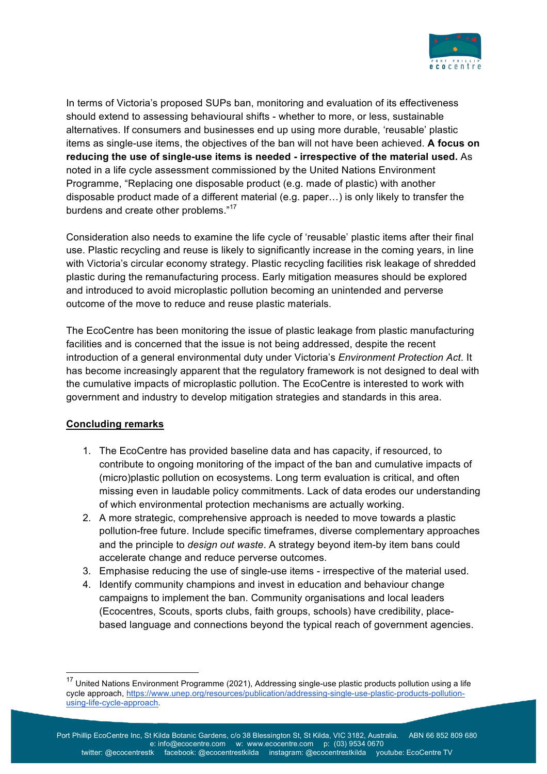

In terms of Victoria's proposed SUPs ban, monitoring and evaluation of its effectiveness should extend to assessing behavioural shifts - whether to more, or less, sustainable alternatives. If consumers and businesses end up using more durable, 'reusable' plastic items as single-use items, the objectives of the ban will not have been achieved. **A focus on reducing the use of single-use items is needed - irrespective of the material used.** As noted in a life cycle assessment commissioned by the United Nations Environment Programme, "Replacing one disposable product (e.g. made of plastic) with another disposable product made of a different material (e.g. paper…) is only likely to transfer the burdens and create other problems."<sup>17</sup>

Consideration also needs to examine the life cycle of 'reusable' plastic items after their final use. Plastic recycling and reuse is likely to significantly increase in the coming years, in line with Victoria's circular economy strategy. Plastic recycling facilities risk leakage of shredded plastic during the remanufacturing process. Early mitigation measures should be explored and introduced to avoid microplastic pollution becoming an unintended and perverse outcome of the move to reduce and reuse plastic materials.

The EcoCentre has been monitoring the issue of plastic leakage from plastic manufacturing facilities and is concerned that the issue is not being addressed, despite the recent introduction of a general environmental duty under Victoria's *Environment Protection Act*. It has become increasingly apparent that the regulatory framework is not designed to deal with the cumulative impacts of microplastic pollution. The EcoCentre is interested to work with government and industry to develop mitigation strategies and standards in this area.

#### **Concluding remarks**

- 1. The EcoCentre has provided baseline data and has capacity, if resourced, to contribute to ongoing monitoring of the impact of the ban and cumulative impacts of (micro)plastic pollution on ecosystems. Long term evaluation is critical, and often missing even in laudable policy commitments. Lack of data erodes our understanding of which environmental protection mechanisms are actually working.
- 2. A more strategic, comprehensive approach is needed to move towards a plastic pollution-free future. Include specific timeframes, diverse complementary approaches and the principle to *design out waste*. A strategy beyond item-by item bans could accelerate change and reduce perverse outcomes.
- 3. Emphasise reducing the use of single-use items irrespective of the material used.
- 4. Identify community champions and invest in education and behaviour change campaigns to implement the ban. Community organisations and local leaders (Ecocentres, Scouts, sports clubs, faith groups, schools) have credibility, placebased language and connections beyond the typical reach of government agencies.

<sup>&</sup>lt;sup>17</sup> United Nations Environment Programme (2021), Addressing single-use plastic products pollution using a life cycle approach, https://www.unep.org/resources/publication/addressing-single-use-plastic-products-pollutionusing-life-cycle-approach.